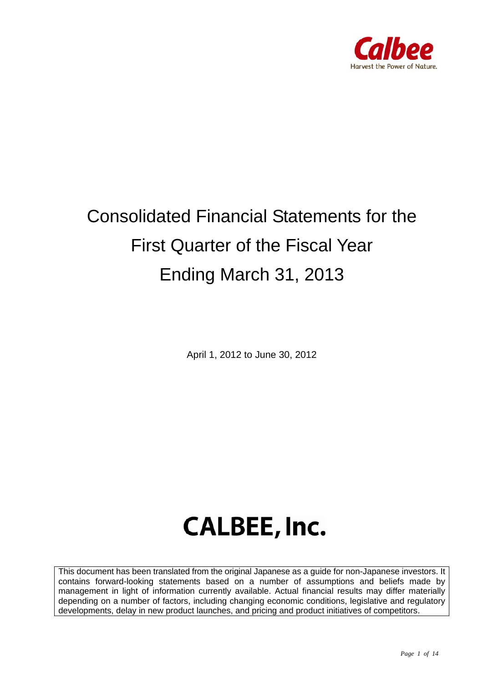

# Consolidated Financial Statements for the First Quarter of the Fiscal Year Ending March 31, 2013

April 1, 2012 to June 30, 2012

# **CALBEE, Inc.**

This document has been translated from the original Japanese as a guide for non-Japanese investors. It contains forward-looking statements based on a number of assumptions and beliefs made by management in light of information currently available. Actual financial results may differ materially depending on a number of factors, including changing economic conditions, legislative and regulatory developments, delay in new product launches, and pricing and product initiatives of competitors.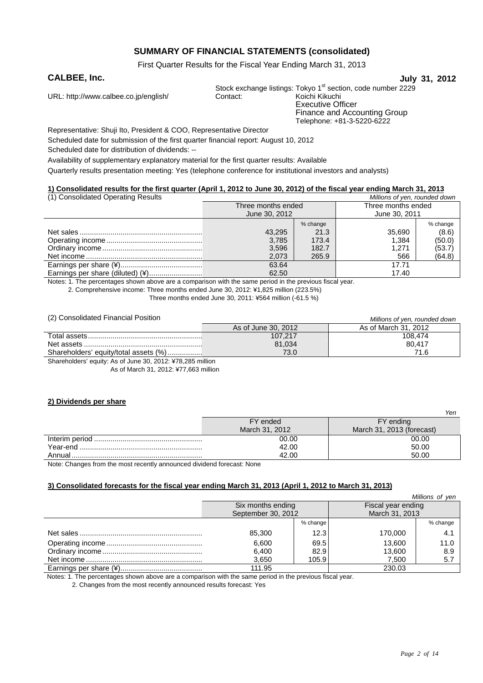### **SUMMARY OF FINANCIAL STATEMENTS (consolidated)**

First Quarter Results for the Fiscal Year Ending March 31, 2013

#### **CALBEE, Inc. July 31, 2012**

URL: http://www.calbee.co.jp/english/ Contact:

Stock exchange listings: Tokyo 1<sup>st</sup> section, code number 2229<br>Contact: Koichi Kikuchi

Executive Officer Finance and Accounting Group Telephone: +81-3-5220-6222

Representative: Shuji Ito, President & COO, Representative Director Scheduled date for submission of the first quarter financial report: August 10, 2012

Scheduled date for distribution of dividends: --

Availability of supplementary explanatory material for the first quarter results: Available

Quarterly results presentation meeting: Yes (telephone conference for institutional investors and analysts)

#### **1) Consolidated results for the first quarter (April 1, 2012 to June 30, 2012) of the fiscal year ending March 31, 2013**

| (1) Consolidated Operating Results | Millions of yen, rounded down |          |                    |          |
|------------------------------------|-------------------------------|----------|--------------------|----------|
|                                    | Three months ended            |          | Three months ended |          |
|                                    | June 30, 2012                 |          | June 30, 2011      |          |
|                                    |                               | % change |                    | % change |
|                                    | 43.295                        | 21.3     | 35,690             | (8.6)    |
|                                    | 3.785                         | 173.4    | 1.384              | (50.0)   |
|                                    | 3,596                         | 182.7    | 1.271              | (53.7)   |
|                                    | 2.073                         | 265.9    | 566                | (64.8)   |
|                                    | 63.64                         |          | 17.71              |          |
| Earnings per share (diluted) (¥)   | 62.50                         |          | 17.40              |          |

Notes: 1. The percentages shown above are a comparison with the same period in the previous fiscal year.

2. Comprehensive income: Three months ended June 30, 2012: ¥1,825 million (223.5%)

Three months ended June 30, 2011: ¥564 million (-61.5 %)

| (2) Consolidated Financial Position   |                     | Millions of yen, rounded down |
|---------------------------------------|---------------------|-------------------------------|
|                                       | As of June 30, 2012 | As of March 31, 2012          |
|                                       | 107.217             | 108,474                       |
|                                       | 81,034              | 80.417                        |
| Shareholders' equity/total assets (%) | 73.0                | 71.6                          |
| .<br>$\cdots$                         |                     |                               |

Shareholders' equity: As of June 30, 2012: ¥78,285 million

As of March 31, 2012: ¥77,663 million

#### **2) Dividends per share**

|          |                | 161 I                     |
|----------|----------------|---------------------------|
|          | FY ended       | FY ending                 |
|          | March 31, 2012 | March 31, 2013 (forecast) |
|          | 00.00          | 00.00                     |
| Year-end | 42.00          | 50.00                     |
| Annual   | 42.00          | 50.00                     |

Note: Changes from the most recently announced dividend forecast: None

#### **3) Consolidated forecasts for the fiscal year ending March 31, 2013 (April 1, 2012 to March 31, 2013)**

| Millions of yen    |          |                    |          |
|--------------------|----------|--------------------|----------|
| Six months ending  |          | Fiscal year ending |          |
| September 30, 2012 |          | March 31, 2013     |          |
|                    | % change |                    | % change |
| 85.300             | 12.3     | 170.000            | 4.1      |
| 6.600              | 69.5     | 13.600             | 11.0     |
| 6,400              | 82.9     | 13.600             | 8.9      |
| 3,650              | 105.9    | 7.500              | 5.7      |
| 111.95             |          | 230.03             |          |

Notes: 1. The percentages shown above are a comparison with the same period in the previous fiscal year.

2. Changes from the most recently announced results forecast: Yes

*Yen*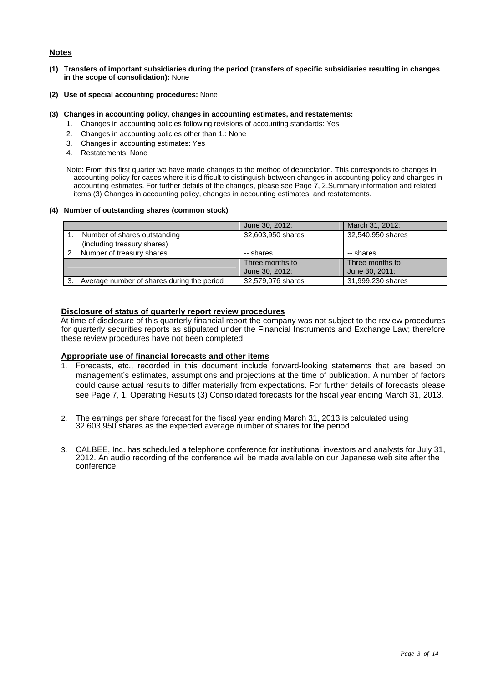#### **Notes**

- **(1) Transfers of important subsidiaries during the period (transfers of specific subsidiaries resulting in changes in the scope of consolidation):** None
- **(2) Use of special accounting procedures:** None
- **(3) Changes in accounting policy, changes in accounting estimates, and restatements:** 
	- 1. Changes in accounting policies following revisions of accounting standards: Yes
		- 2. Changes in accounting policies other than 1.: None
		- 3. Changes in accounting estimates: Yes
		- 4. Restatements: None

Note: From this first quarter we have made changes to the method of depreciation. This corresponds to changes in accounting policy for cases where it is difficult to distinguish between changes in accounting policy and changes in accounting estimates. For further details of the changes, please see Page 7, 2.Summary information and related items (3) Changes in accounting policy, changes in accounting estimates, and restatements.

#### **(4) Number of outstanding shares (common stock)**

|                                            | June 30, 2012:    | March 31, 2012:   |
|--------------------------------------------|-------------------|-------------------|
| Number of shares outstanding               | 32,603,950 shares | 32,540,950 shares |
| (including treasury shares)                |                   |                   |
| Number of treasury shares                  | -- shares         | -- shares         |
|                                            | Three months to   | Three months to   |
|                                            | June 30, 2012:    | June 30, 2011:    |
| Average number of shares during the period | 32,579,076 shares | 31,999,230 shares |

#### **Disclosure of status of quarterly report review procedures**

At time of disclosure of this quarterly financial report the company was not subject to the review procedures for quarterly securities reports as stipulated under the Financial Instruments and Exchange Law; therefore these review procedures have not been completed.

#### **Appropriate use of financial forecasts and other items**

- 1. Forecasts, etc., recorded in this document include forward-looking statements that are based on management's estimates, assumptions and projections at the time of publication. A number of factors could cause actual results to differ materially from expectations. For further details of forecasts please see Page 7, 1. Operating Results (3) Consolidated forecasts for the fiscal year ending March 31, 2013.
- 2. The earnings per share forecast for the fiscal year ending March 31, 2013 is calculated using 32,603,950 shares as the expected average number of shares for the period.
- 3. CALBEE, Inc. has scheduled a telephone conference for institutional investors and analysts for July 31, 2012. An audio recording of the conference will be made available on our Japanese web site after the conference.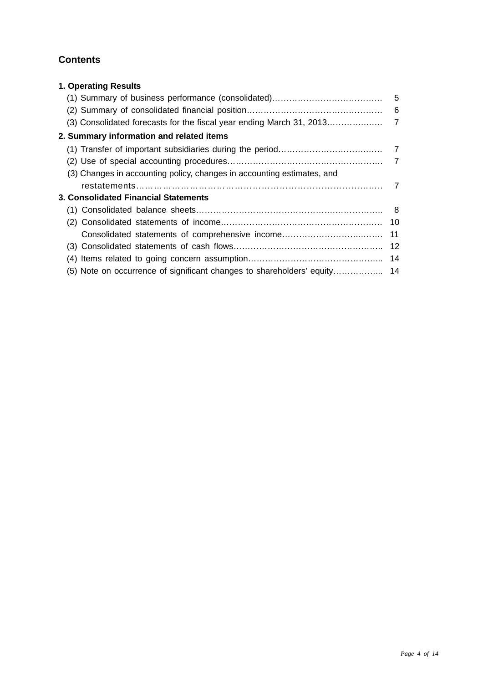# **Contents**

| <b>1. Operating Results</b>                                            |    |
|------------------------------------------------------------------------|----|
|                                                                        |    |
|                                                                        |    |
|                                                                        |    |
| 2. Summary information and related items                               |    |
|                                                                        |    |
|                                                                        |    |
| (3) Changes in accounting policy, changes in accounting estimates, and |    |
|                                                                        |    |
| 3. Consolidated Financial Statements                                   |    |
|                                                                        |    |
|                                                                        |    |
| Consolidated statements of comprehensive income                        | 11 |
|                                                                        |    |
|                                                                        | 14 |
|                                                                        |    |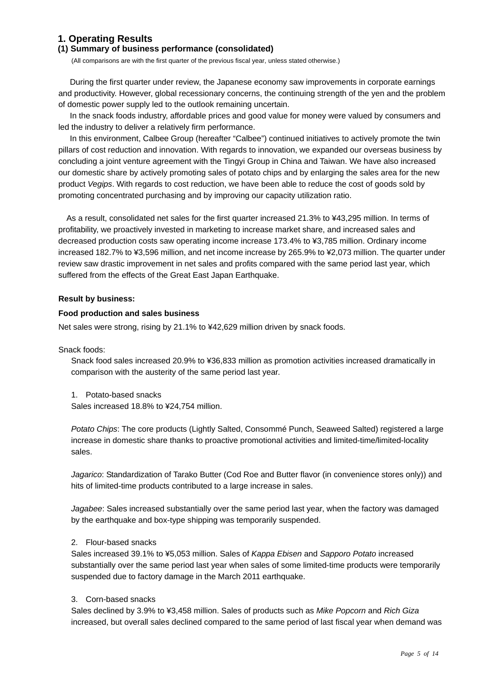### **1. Operating Results**

#### **(1) Summary of business performance (consolidated)**

(All comparisons are with the first quarter of the previous fiscal year, unless stated otherwise.)

During the first quarter under review, the Japanese economy saw improvements in corporate earnings and productivity. However, global recessionary concerns, the continuing strength of the yen and the problem of domestic power supply led to the outlook remaining uncertain.

In the snack foods industry, affordable prices and good value for money were valued by consumers and led the industry to deliver a relatively firm performance.

In this environment, Calbee Group (hereafter "Calbee") continued initiatives to actively promote the twin pillars of cost reduction and innovation. With regards to innovation, we expanded our overseas business by concluding a joint venture agreement with the Tingyi Group in China and Taiwan. We have also increased our domestic share by actively promoting sales of potato chips and by enlarging the sales area for the new product *Vegips*. With regards to cost reduction, we have been able to reduce the cost of goods sold by promoting concentrated purchasing and by improving our capacity utilization ratio.

As a result, consolidated net sales for the first quarter increased 21.3% to ¥43,295 million. In terms of profitability, we proactively invested in marketing to increase market share, and increased sales and decreased production costs saw operating income increase 173.4% to ¥3,785 million. Ordinary income increased 182.7% to ¥3,596 million, and net income increase by 265.9% to ¥2,073 million. The quarter under review saw drastic improvement in net sales and profits compared with the same period last year, which suffered from the effects of the Great East Japan Earthquake.

#### **Result by business:**

#### **Food production and sales business**

Net sales were strong, rising by 21.1% to ¥42,629 million driven by snack foods.

Snack foods:

Snack food sales increased 20.9% to ¥36,833 million as promotion activities increased dramatically in comparison with the austerity of the same period last year.

1. Potato-based snacks

Sales increased 18.8% to ¥24,754 million.

*Potato Chips*: The core products (Lightly Salted, Consommé Punch, Seaweed Salted) registered a large increase in domestic share thanks to proactive promotional activities and limited-time/limited-locality sales.

*Jagarico*: Standardization of Tarako Butter (Cod Roe and Butter flavor (in convenience stores only)) and hits of limited-time products contributed to a large increase in sales.

*Jagabee*: Sales increased substantially over the same period last year, when the factory was damaged by the earthquake and box-type shipping was temporarily suspended.

#### 2. Flour-based snacks

Sales increased 39.1% to ¥5,053 million. Sales of *Kappa Ebisen* and *Sapporo Potato* increased substantially over the same period last year when sales of some limited-time products were temporarily suspended due to factory damage in the March 2011 earthquake.

#### 3. Corn-based snacks

Sales declined by 3.9% to ¥3,458 million. Sales of products such as *Mike Popcorn* and *Rich Giza* increased, but overall sales declined compared to the same period of last fiscal year when demand was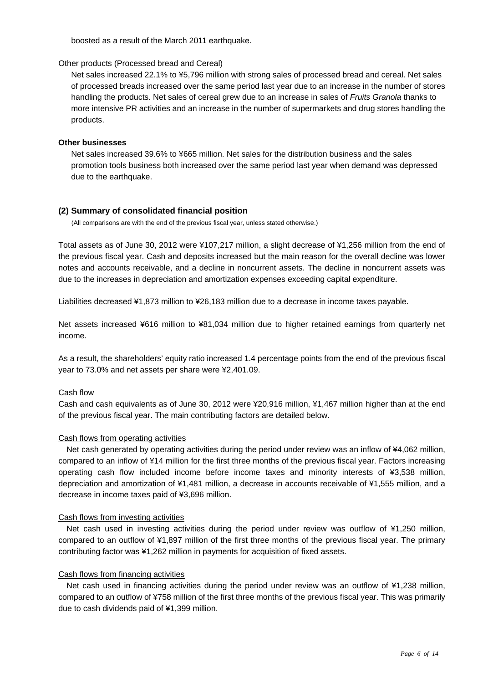boosted as a result of the March 2011 earthquake.

#### Other products (Processed bread and Cereal)

Net sales increased 22.1% to ¥5,796 million with strong sales of processed bread and cereal. Net sales of processed breads increased over the same period last year due to an increase in the number of stores handling the products. Net sales of cereal grew due to an increase in sales of *Fruits Granola* thanks to more intensive PR activities and an increase in the number of supermarkets and drug stores handling the products.

#### **Other businesses**

Net sales increased 39.6% to ¥665 million. Net sales for the distribution business and the sales promotion tools business both increased over the same period last year when demand was depressed due to the earthquake.

#### **(2) Summary of consolidated financial position**

(All comparisons are with the end of the previous fiscal year, unless stated otherwise.)

Total assets as of June 30, 2012 were ¥107,217 million, a slight decrease of ¥1,256 million from the end of the previous fiscal year. Cash and deposits increased but the main reason for the overall decline was lower notes and accounts receivable, and a decline in noncurrent assets. The decline in noncurrent assets was due to the increases in depreciation and amortization expenses exceeding capital expenditure.

Liabilities decreased ¥1,873 million to ¥26,183 million due to a decrease in income taxes payable.

Net assets increased ¥616 million to ¥81,034 million due to higher retained earnings from quarterly net income.

As a result, the shareholders' equity ratio increased 1.4 percentage points from the end of the previous fiscal year to 73.0% and net assets per share were ¥2,401.09.

#### Cash flow

Cash and cash equivalents as of June 30, 2012 were ¥20,916 million, ¥1,467 million higher than at the end of the previous fiscal year. The main contributing factors are detailed below.

#### Cash flows from operating activities

Net cash generated by operating activities during the period under review was an inflow of ¥4,062 million, compared to an inflow of ¥14 million for the first three months of the previous fiscal year. Factors increasing operating cash flow included income before income taxes and minority interests of ¥3,538 million, depreciation and amortization of ¥1,481 million, a decrease in accounts receivable of ¥1,555 million, and a decrease in income taxes paid of ¥3,696 million.

#### Cash flows from investing activities

Net cash used in investing activities during the period under review was outflow of ¥1,250 million, compared to an outflow of ¥1,897 million of the first three months of the previous fiscal year. The primary contributing factor was ¥1,262 million in payments for acquisition of fixed assets.

#### Cash flows from financing activities

Net cash used in financing activities during the period under review was an outflow of ¥1,238 million, compared to an outflow of ¥758 million of the first three months of the previous fiscal year. This was primarily due to cash dividends paid of ¥1,399 million.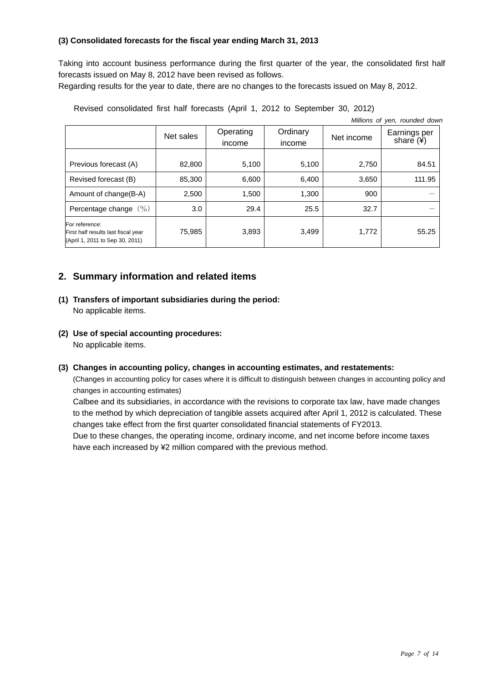#### **(3) Consolidated forecasts for the fiscal year ending March 31, 2013**

Taking into account business performance during the first quarter of the year, the consolidated first half forecasts issued on May 8, 2012 have been revised as follows.

Regarding results for the year to date, there are no changes to the forecasts issued on May 8, 2012.

| Millions of yen, rounded down                                                            |           |                     |                    |            |                                       |
|------------------------------------------------------------------------------------------|-----------|---------------------|--------------------|------------|---------------------------------------|
|                                                                                          | Net sales | Operating<br>income | Ordinary<br>income | Net income | Earnings per<br>share $(\frac{4}{3})$ |
| Previous forecast (A)                                                                    | 82,800    | 5,100               | 5,100              | 2,750      | 84.51                                 |
| Revised forecast (B)                                                                     | 85,300    | 6,600               | 6,400              | 3,650      | 111.95                                |
| Amount of change (B-A)                                                                   | 2,500     | 1,500               | 1,300              | 900        |                                       |
| Percentage change $(\%)$                                                                 | 3.0       | 29.4                | 25.5               | 32.7       |                                       |
| For reference:<br>First half results last fiscal year<br>(April 1, 2011 to Sep 30, 2011) | 75,985    | 3,893               | 3,499              | 1,772      | 55.25                                 |

Revised consolidated first half forecasts (April 1, 2012 to September 30, 2012)

## **2. Summary information and related items**

- **(1) Transfers of important subsidiaries during the period:**  No applicable items.
- **(2) Use of special accounting procedures:**  No applicable items.
- **(3) Changes in accounting policy, changes in accounting estimates, and restatements:**

(Changes in accounting policy for cases where it is difficult to distinguish between changes in accounting policy and changes in accounting estimates)

Calbee and its subsidiaries, in accordance with the revisions to corporate tax law, have made changes to the method by which depreciation of tangible assets acquired after April 1, 2012 is calculated. These changes take effect from the first quarter consolidated financial statements of FY2013.

Due to these changes, the operating income, ordinary income, and net income before income taxes have each increased by ¥2 million compared with the previous method.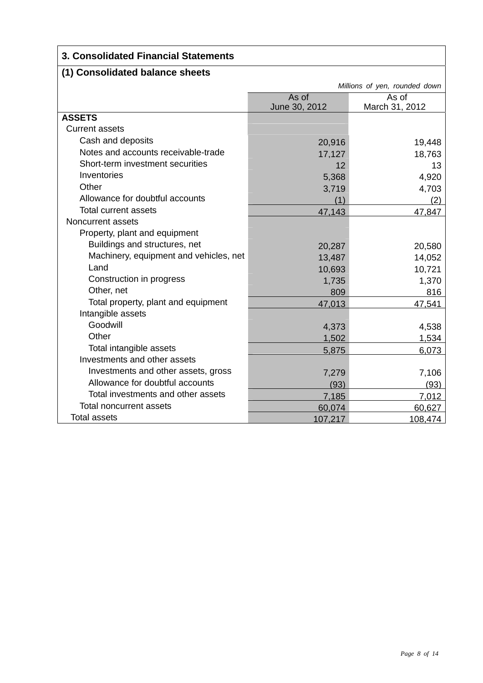# **3. Consolidated Financial Statements**

# **(1) Consolidated balance sheets**

|                                        | Millions of yen, rounded down |                |  |
|----------------------------------------|-------------------------------|----------------|--|
|                                        | As of<br>As of                |                |  |
|                                        | June 30, 2012                 | March 31, 2012 |  |
| <b>ASSETS</b>                          |                               |                |  |
| <b>Current assets</b>                  |                               |                |  |
| Cash and deposits                      | 20,916                        | 19,448         |  |
| Notes and accounts receivable-trade    | 17,127                        | 18,763         |  |
| Short-term investment securities       | 12                            | 13             |  |
| Inventories                            | 5,368                         | 4,920          |  |
| Other                                  | 3,719                         | 4,703          |  |
| Allowance for doubtful accounts        | (1)                           | (2)            |  |
| Total current assets                   | 47,143                        | 47,847         |  |
| Noncurrent assets                      |                               |                |  |
| Property, plant and equipment          |                               |                |  |
| Buildings and structures, net          | 20,287                        | 20,580         |  |
| Machinery, equipment and vehicles, net | 13,487                        | 14,052         |  |
| Land                                   | 10,693                        | 10,721         |  |
| Construction in progress               | 1,735                         | 1,370          |  |
| Other, net                             | 809                           | 816            |  |
| Total property, plant and equipment    | 47,013                        | 47,541         |  |
| Intangible assets                      |                               |                |  |
| Goodwill                               | 4,373                         | 4,538          |  |
| Other                                  | 1,502                         | 1,534          |  |
| Total intangible assets                | 5,875                         | 6,073          |  |
| Investments and other assets           |                               |                |  |
| Investments and other assets, gross    | 7,279                         | 7,106          |  |
| Allowance for doubtful accounts        | (93)                          | (93)           |  |
| Total investments and other assets     | 7,185                         | 7,012          |  |
| <b>Total noncurrent assets</b>         | 60,074                        | 60,627         |  |
| Total assets                           | 107,217                       | 108,474        |  |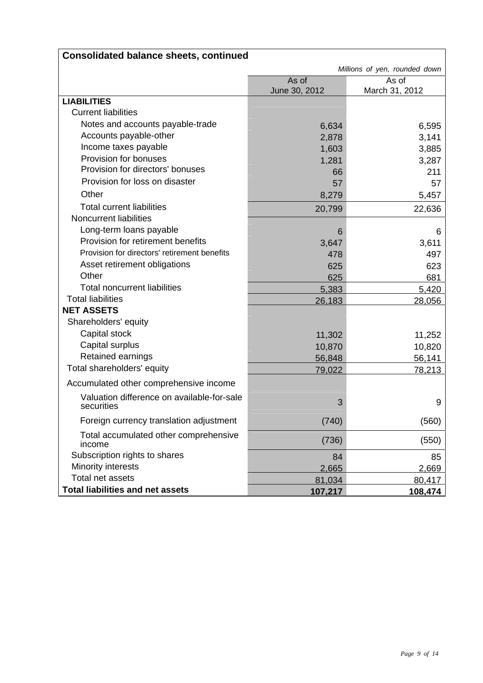|                                                                 |               | Millions of yen, rounded down |
|-----------------------------------------------------------------|---------------|-------------------------------|
|                                                                 | As of         | As of                         |
| <b>LIABILITIES</b>                                              | June 30, 2012 | March 31, 2012                |
| <b>Current liabilities</b>                                      |               |                               |
| Notes and accounts payable-trade                                |               |                               |
| Accounts payable-other                                          | 6,634         | 6,595                         |
| Income taxes payable                                            | 2,878         | 3,141                         |
| Provision for bonuses                                           | 1,603         | 3,885                         |
| Provision for directors' bonuses                                | 1,281         | 3,287<br>211                  |
| Provision for loss on disaster                                  | 66<br>57      | 57                            |
| Other                                                           | 8,279         | 5,457                         |
| <b>Total current liabilities</b>                                |               |                               |
| <b>Noncurrent liabilities</b>                                   | 20,799        | 22,636                        |
|                                                                 |               |                               |
| Long-term loans payable<br>Provision for retirement benefits    | 6             | 6                             |
| Provision for directors' retirement benefits                    | 3,647         | 3,611                         |
|                                                                 | 478           | 497                           |
| Asset retirement obligations<br>Other                           | 625           | 623                           |
|                                                                 | 625           | 681                           |
| <b>Total noncurrent liabilities</b><br><b>Total liabilities</b> | 5,383         | 5,420                         |
| <b>NET ASSETS</b>                                               | 26,183        | 28,056                        |
|                                                                 |               |                               |
| Shareholders' equity                                            |               |                               |
| Capital stock                                                   | 11,302        | 11,252                        |
| Capital surplus                                                 | 10,870        | 10,820                        |
| Retained earnings                                               | 56,848        | 56,141                        |
| Total shareholders' equity                                      | 79,022        | 78,213                        |
| Accumulated other comprehensive income                          |               |                               |
| Valuation difference on available-for-sale<br>securities        | 3             | 9                             |
| Foreign currency translation adjustment                         | (740)         | (560)                         |
| Total accumulated other comprehensive<br>income                 | (736)         | (550)                         |
| Subscription rights to shares                                   | 84            | 85                            |
| Minority interests                                              | 2,665         | 2,669                         |
| Total net assets                                                | 81,034        | 80,417                        |
| <b>Total liabilities and net assets</b>                         | 107,217       | 108,474                       |

# **Consolidated balance sheets, continued**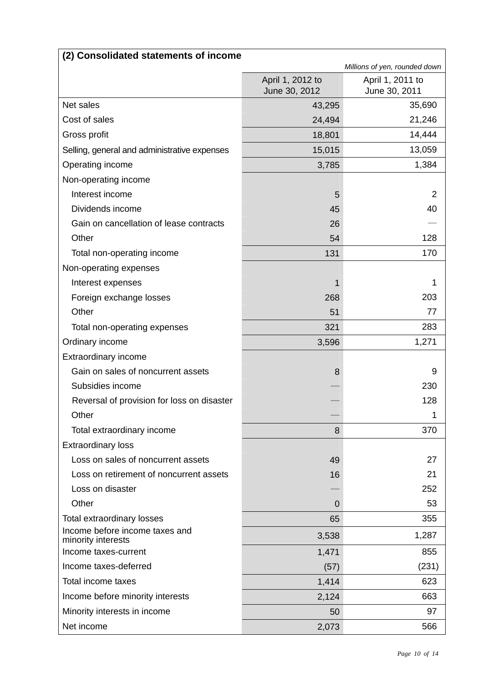| (2) Consolidated statements of income                |                                   |                                   |  |
|------------------------------------------------------|-----------------------------------|-----------------------------------|--|
|                                                      |                                   | Millions of yen, rounded down     |  |
|                                                      | April 1, 2012 to<br>June 30, 2012 | April 1, 2011 to<br>June 30, 2011 |  |
| Net sales                                            | 43,295                            | 35,690                            |  |
| Cost of sales                                        | 24,494                            | 21,246                            |  |
| Gross profit                                         | 18,801                            | 14,444                            |  |
| Selling, general and administrative expenses         | 15,015                            | 13,059                            |  |
| Operating income                                     | 3,785                             | 1,384                             |  |
| Non-operating income                                 |                                   |                                   |  |
| Interest income                                      | 5                                 | 2                                 |  |
| Dividends income                                     | 45                                | 40                                |  |
| Gain on cancellation of lease contracts              | 26                                |                                   |  |
| Other                                                | 54                                | 128                               |  |
| Total non-operating income                           | 131                               | 170                               |  |
| Non-operating expenses                               |                                   |                                   |  |
| Interest expenses                                    | 1                                 | 1                                 |  |
| Foreign exchange losses                              | 268                               | 203                               |  |
| Other                                                | 51                                | 77                                |  |
| Total non-operating expenses                         | 321                               | 283                               |  |
| Ordinary income                                      | 3,596                             | 1,271                             |  |
| Extraordinary income                                 |                                   |                                   |  |
| Gain on sales of noncurrent assets                   | 8                                 | 9                                 |  |
| Subsidies income                                     |                                   | 230                               |  |
| Reversal of provision for loss on disaster           |                                   | 128                               |  |
| Other                                                |                                   |                                   |  |
| Total extraordinary income                           | 8                                 | 370                               |  |
| <b>Extraordinary loss</b>                            |                                   |                                   |  |
| Loss on sales of noncurrent assets                   | 49                                | 27                                |  |
| Loss on retirement of noncurrent assets              | 16                                | 21                                |  |
| Loss on disaster                                     |                                   | 252                               |  |
| Other                                                | $\Omega$                          | 53                                |  |
| Total extraordinary losses                           | 65                                | 355                               |  |
| Income before income taxes and<br>minority interests | 3,538                             | 1,287                             |  |
| Income taxes-current                                 | 1,471                             | 855                               |  |
| Income taxes-deferred                                | (57)                              | (231)                             |  |
| Total income taxes                                   | 1,414                             | 623                               |  |
| Income before minority interests                     | 2,124                             | 663                               |  |
| Minority interests in income                         | 50                                | 97                                |  |
| Net income                                           | 2,073                             | 566                               |  |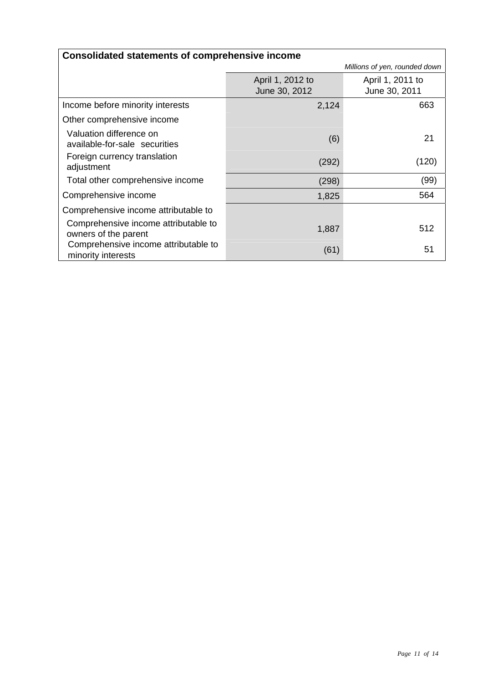| <b>Consolidated statements of comprehensive income</b>       |                  |                               |  |
|--------------------------------------------------------------|------------------|-------------------------------|--|
|                                                              |                  | Millions of yen, rounded down |  |
|                                                              | April 1, 2012 to | April 1, 2011 to              |  |
|                                                              | June 30, 2012    | June 30, 2011                 |  |
| Income before minority interests                             | 2,124            | 663                           |  |
| Other comprehensive income                                   |                  |                               |  |
| Valuation difference on<br>available-for-sale securities     | (6)              | 21                            |  |
| Foreign currency translation<br>adjustment                   | (292)            | (120)                         |  |
| Total other comprehensive income                             | (298)            | (99)                          |  |
| Comprehensive income                                         | 1,825            | 564                           |  |
| Comprehensive income attributable to                         |                  |                               |  |
| Comprehensive income attributable to<br>owners of the parent | 1,887            | 512                           |  |
| Comprehensive income attributable to<br>minority interests   | (61)             | 51                            |  |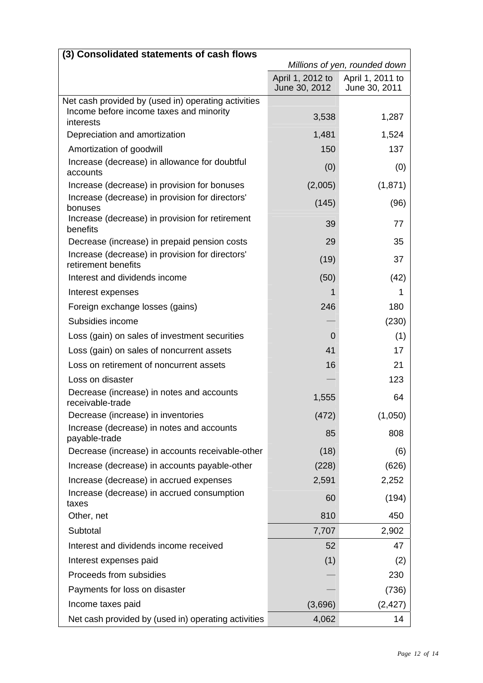| (3) Consolidated statements of cash flows                              |                                   |                                   |
|------------------------------------------------------------------------|-----------------------------------|-----------------------------------|
|                                                                        |                                   | Millions of yen, rounded down     |
|                                                                        | April 1, 2012 to<br>June 30, 2012 | April 1, 2011 to<br>June 30, 2011 |
| Net cash provided by (used in) operating activities                    |                                   |                                   |
| Income before income taxes and minority<br>interests                   | 3,538                             | 1,287                             |
| Depreciation and amortization                                          | 1,481                             | 1,524                             |
| Amortization of goodwill                                               | 150                               | 137                               |
| Increase (decrease) in allowance for doubtful<br>accounts              | (0)                               | (0)                               |
| Increase (decrease) in provision for bonuses                           | (2,005)                           | (1, 871)                          |
| Increase (decrease) in provision for directors'<br>bonuses             | (145)                             | (96)                              |
| Increase (decrease) in provision for retirement<br>benefits            | 39                                | 77                                |
| Decrease (increase) in prepaid pension costs                           | 29                                | 35                                |
| Increase (decrease) in provision for directors'<br>retirement benefits | (19)                              | 37                                |
| Interest and dividends income                                          | (50)                              | (42)                              |
| Interest expenses                                                      | 1                                 | 1                                 |
| Foreign exchange losses (gains)                                        | 246                               | 180                               |
| Subsidies income                                                       |                                   | (230)                             |
| Loss (gain) on sales of investment securities                          | $\overline{0}$                    | (1)                               |
| Loss (gain) on sales of noncurrent assets                              | 41                                | 17                                |
| Loss on retirement of noncurrent assets                                | 16                                | 21                                |
| Loss on disaster                                                       |                                   | 123                               |
| Decrease (increase) in notes and accounts<br>receivable-trade          | 1,555                             | 64                                |
| Decrease (increase) in inventories                                     | (472)                             | (1,050)                           |
| Increase (decrease) in notes and accounts<br>payable-trade             | 85                                | 808                               |
| Decrease (increase) in accounts receivable-other                       | (18)                              | (6)                               |
| Increase (decrease) in accounts payable-other                          | (228)                             | (626)                             |
| Increase (decrease) in accrued expenses                                | 2,591                             | 2,252                             |
| Increase (decrease) in accrued consumption<br>taxes                    | 60                                | (194)                             |
| Other, net                                                             | 810                               | 450                               |
| Subtotal                                                               | 7,707                             | 2,902                             |
| Interest and dividends income received                                 | 52                                | 47                                |
| Interest expenses paid                                                 | (1)                               | (2)                               |
| Proceeds from subsidies                                                |                                   | 230                               |
| Payments for loss on disaster                                          |                                   | (736)                             |
| Income taxes paid                                                      | (3,696)                           | (2, 427)                          |
| Net cash provided by (used in) operating activities                    | 4,062                             | 14                                |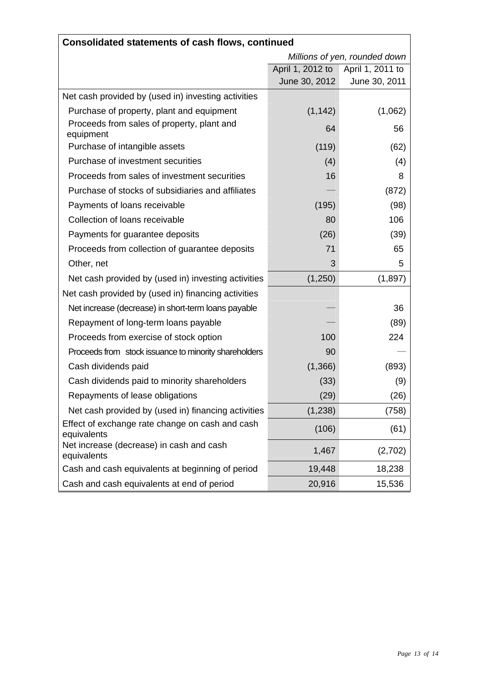| <b>Consolidated statements of cash flows, continued</b>        |                               |                  |
|----------------------------------------------------------------|-------------------------------|------------------|
|                                                                | Millions of yen, rounded down |                  |
|                                                                | April 1, 2012 to              | April 1, 2011 to |
|                                                                | June 30, 2012                 | June 30, 2011    |
| Net cash provided by (used in) investing activities            |                               |                  |
| Purchase of property, plant and equipment                      | (1, 142)                      | (1,062)          |
| Proceeds from sales of property, plant and<br>equipment        | 64                            | 56               |
| Purchase of intangible assets                                  | (119)                         | (62)             |
| Purchase of investment securities                              | (4)                           | (4)              |
| Proceeds from sales of investment securities                   | 16                            | 8                |
| Purchase of stocks of subsidiaries and affiliates              |                               | (872)            |
| Payments of loans receivable                                   | (195)                         | (98)             |
| Collection of loans receivable                                 | 80                            | 106              |
| Payments for guarantee deposits                                | (26)                          | (39)             |
| Proceeds from collection of guarantee deposits                 | 71                            | 65               |
| Other, net                                                     | 3                             | 5.               |
| Net cash provided by (used in) investing activities            | (1,250)                       | (1,897)          |
| Net cash provided by (used in) financing activities            |                               |                  |
| Net increase (decrease) in short-term loans payable            |                               | 36               |
| Repayment of long-term loans payable                           |                               | (89)             |
| Proceeds from exercise of stock option                         | 100                           | 224              |
| Proceeds from stock issuance to minority shareholders          | 90                            |                  |
| Cash dividends paid                                            | (1,366)                       | (893)            |
| Cash dividends paid to minority shareholders                   | (33)                          | (9)              |
| Repayments of lease obligations                                | (29)                          | (26)             |
| Net cash provided by (used in) financing activities            | (1, 238)                      | (758)            |
| Effect of exchange rate change on cash and cash<br>equivalents | (106)                         | (61)             |
| Net increase (decrease) in cash and cash<br>equivalents        | 1,467                         | (2,702)          |
| Cash and cash equivalents at beginning of period               | 19,448                        | 18,238           |
| Cash and cash equivalents at end of period                     | 20,916                        | 15,536           |